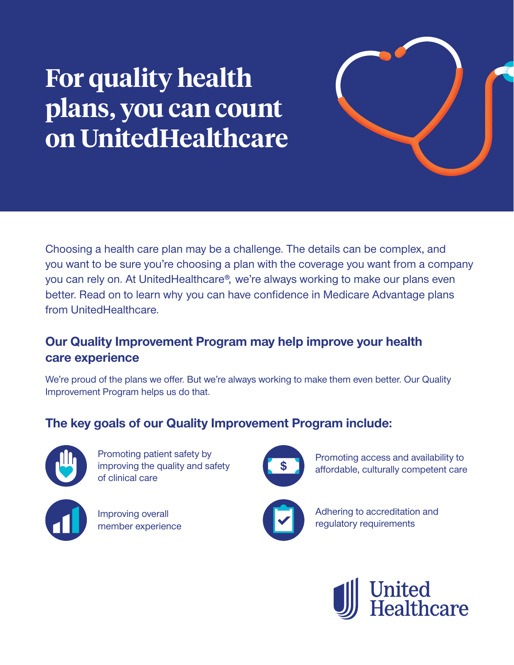## **For quality health plans, you can count on UnitedHealthcare**

Choosing a health care plan may be a challenge. The details can be complex, and you want to be sure you're choosing a plan with the coverage you want from a company you can rely on. At UnitedHealthcare®, we're always working to make our plans even better. Read on to learn why you can have confidence in Medicare Advantage plans from UnitedHealthcare.

## **Our Quality Improvement Program may help improve your health care experience**

We're proud of the plans we offer. But we're always working to make them even better. Our Quality Improvement Program helps us do that.

## **The key goals of our Quality Improvement Program include:**



Promoting patient safety by improving the quality and safety of clinical care



Improving overall member experience



Promoting access and availability to affordable, culturally competent care



Adhering to accreditation and regulatory requirements